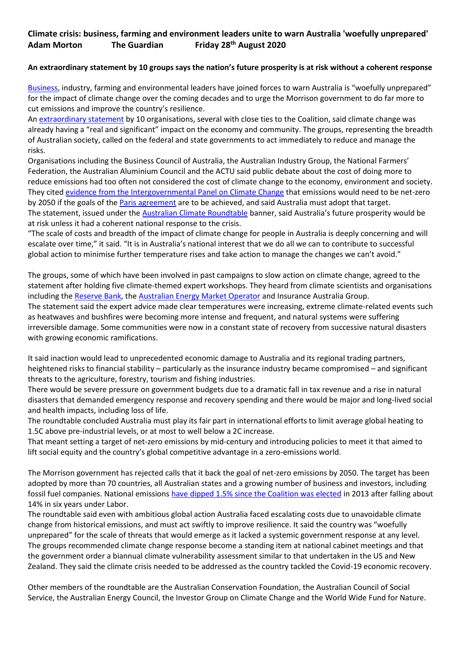## **Climate crisis: business, farming and environment leaders unite to warn Australia 'woefully unprepared' Adam Morton The Guardian Friday 28th August 2020**

## **An extraordinary statement by 10 groups says the nation's future prosperity is at risk without a coherent response**

[Business](https://www.theguardian.com/australia-news/business-australia), industry, farming and environmental leaders have joined forces to warn Australia is "woefully unprepared" for the impact of climate change over the coming decades and to urge the Morrison government to do far more to cut emissions and improve the country's resilience.

An [extraordinary statement](https://www.australianclimateroundtable.org.au/wp-content/uploads/2020/08/ACR_statement_on_climate_impacts-August_2020.pdf) by 10 organisations, several with close ties to the Coalition, said climate change was already having a "real and significant" impact on the economy and community. The groups, representing the breadth of Australian society, called on the federal and state governments to act immediately to reduce and manage the risks.

Organisations including the Business Council of Australia, the Australian Industry Group, the National Farmers' Federation, the Australian Aluminium Council and the ACTU said public debate about the cost of doing more to reduce emissions had too often not considered the cost of climate change to the economy, environment and society. They cited [evidence from the Intergovernmental Panel on Climate Change](https://www.ipcc.ch/sr15/) that emissions would need to be net-zero by 2050 if the goals of the **[Paris agreement](https://www.theguardian.com/environment/paris-climate-agreement)** are to be achieved, and said Australia must adopt that target. The statement, issued under the [Australian Climate Roundtable](https://www.australianclimateroundtable.org.au/) banner, said Australia's future prosperity would be at risk unless it had a coherent national response to the crisis.

"The scale of costs and breadth of the impact of climate change for people in Australia is deeply concerning and will escalate over time," it said. "It is in Australia's national interest that we do all we can to contribute to successful global action to minimise further temperature rises and take action to manage the changes we can't avoid."

The groups, some of which have been involved in past campaigns to slow action on climate change, agreed to the statement after holding five climate-themed expert workshops. They heard from climate scientists and organisations including the [Reserve Bank,](https://www.theguardian.com/australia-news/2020/may/15/australias-reserve-bank-fuels-call-for-post-pandemic-renewables-push) the [Australian Energy Market Operator](https://www.theguardian.com/australia-news/2020/jul/30/gas-prices-will-need-to-stay-low-to-compete-with-alternatives-on-renewable-grid-operator-says?CMP=Share_iOSApp_Other) and Insurance Australia Group. The statement said the expert advice made clear temperatures were increasing, extreme climate-related events such as heatwaves and bushfires were becoming more intense and frequent, and natural systems were suffering irreversible damage. Some communities were now in a constant state of recovery from successive natural disasters with growing economic ramifications.

It said inaction would lead to unprecedented economic damage to Australia and its regional trading partners, heightened risks to financial stability – particularly as the insurance industry became compromised – and significant threats to the agriculture, forestry, tourism and fishing industries.

There would be severe pressure on government budgets due to a dramatic fall in tax revenue and a rise in natural disasters that demanded emergency response and recovery spending and there would be major and long-lived social and health impacts, including loss of life.

The roundtable concluded Australia must play its fair part in international efforts to limit average global heating to 1.5C above pre-industrial levels, or at most to well below a 2C increase.

That meant setting a target of net-zero emissions by mid-century and introducing policies to meet it that aimed to lift social equity and the country's global competitive advantage in a zero-emissions world.

The Morrison government has rejected calls that it back the goal of net-zero emissions by 2050. The target has been adopted by more than 70 countries, all Australian states and a growing number of business and investors, including fossil fuel companies. National emissions [have dipped 1.5% since the Coalition was elected](https://www.theguardian.com/australia-news/2020/may/29/australias-greenhouse-gas-emissions-fall-slightly-as-new-clean-energy-comes-online) in 2013 after falling about 14% in six years under Labor.

The roundtable said even with ambitious global action Australia faced escalating costs due to unavoidable climate change from historical emissions, and must act swiftly to improve resilience. It said the country was "woefully unprepared" for the scale of threats that would emerge as it lacked a systemic government response at any level. The groups recommended climate change response become a standing item at national cabinet meetings and that the government order a biannual climate vulnerability assessment similar to that undertaken in the US and New Zealand. They said the climate crisis needed to be addressed as the country tackled the Covid-19 economic recovery.

Other members of the roundtable are the Australian Conservation Foundation, the Australian Council of Social Service, the Australian Energy Council, the Investor Group on Climate Change and the World Wide Fund for Nature.